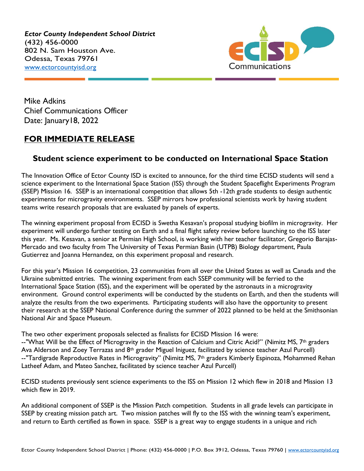*Ector County Independent School District* (432) 456-0000 802 N. Sam Houston Ave. Odessa, Texas 79761 [www.ectorcountyisd.org](http://www.ectorcountyisd.org/)



Mike Adkins Chief Communications Officer Date: January 18, 2022

## **FOR IMMEDIATE RELEASE**

## **Student science experiment to be conducted on International Space Station**

The Innovation Office of Ector County ISD is excited to announce, for the third time ECISD students will send a science experiment to the International Space Station (ISS) through the Student Spaceflight Experiments Program (SSEP) Mission 16. SSEP is an international competition that allows 5th -12th grade students to design authentic experiments for microgravity environments. SSEP mirrors how professional scientists work by having student teams write research proposals that are evaluated by panels of experts.

The winning experiment proposal from ECISD is Swetha Kesavan's proposal studying biofilm in microgravity. Her experiment will undergo further testing on Earth and a final flight safety review before launching to the ISS later this year. Ms. Kesavan, a senior at Permian High School, is working with her teacher facilitator, Gregorio Barajas-Mercado and two faculty from The University of Texas Permian Basin (UTPB) Biology department, Paula Gutierrez and Joanna Hernandez, on this experiment proposal and research.

For this year's Mission 16 competition, 23 communities from all over the United States as well as Canada and the Ukraine submitted entries. The winning experiment from each SSEP community will be ferried to the International Space Station (ISS), and the experiment will be operated by the astronauts in a microgravity environment. Ground control experiments will be conducted by the students on Earth, and then the students will analyze the results from the two experiments. Participating students will also have the opportunity to present their research at the SSEP National Conference during the summer of 2022 planned to be held at the Smithsonian National Air and Space Museum.

The two other experiment proposals selected as finalists for ECISD Mission 16 were: --"What Will be the Effect of Microgravity in the Reaction of Calcium and Citric Acid?" (Nimitz MS, 7<sup>th</sup> graders Ava Alderson and Zoey Terrazas and 8<sup>th</sup> grader Miguel Iniguez, facilitated by science teacher Azul Purcell) --"Tardigrade Reproductive Rates in Microgravity" (Nimitz MS, 7<sup>th</sup> graders Kimberly Espinoza, Mohammed Rehan Latheef Adam, and Mateo Sanchez, facilitated by science teacher Azul Purcell)

ECISD students previously sent science experiments to the ISS on Mission 12 which flew in 2018 and Mission 13 which flew in 2019.

An additional component of SSEP is the Mission Patch competition. Students in all grade levels can participate in SSEP by creating mission patch art. Two mission patches will fly to the ISS with the winning team's experiment, and return to Earth certified as flown in space. SSEP is a great way to engage students in a unique and rich